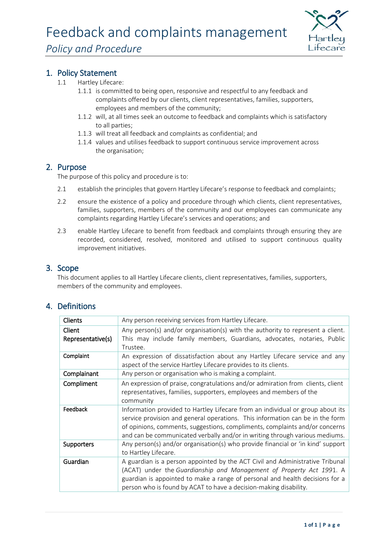

### 1. Policy Statement

- 1.1 Hartley Lifecare:
	- 1.1.1 is committed to being open, responsive and respectful to any feedback and complaints offered by our clients, client representatives, families, supporters, employees and members of the community;
	- 1.1.2 will, at all times seek an outcome to feedback and complaints which is satisfactory to all parties;
	- 1.1.3 will treat all feedback and complaints as confidential; and
	- 1.1.4 values and utilises feedback to support continuous service improvement across the organisation;

#### 2. Purpose

The purpose of this policy and procedure is to:

- 2.1 establish the principles that govern Hartley Lifecare's response to feedback and complaints;
- 2.2 ensure the existence of a policy and procedure through which clients, client representatives, families, supporters, members of the community and our employees can communicate any complaints regarding Hartley Lifecare's services and operations; and
- 2.3 enable Hartley Lifecare to benefit from feedback and complaints through ensuring they are recorded, considered, resolved, monitored and utilised to support continuous quality improvement initiatives.

#### 3. Scope

This document applies to all Hartley Lifecare clients, client representatives, families, supporters, members of the community and employees.

# 4. Definitions

| Clients           | Any person receiving services from Hartley Lifecare.                            |
|-------------------|---------------------------------------------------------------------------------|
| Client            | Any person(s) and/or organisation(s) with the authority to represent a client.  |
| Representative(s) | This may include family members, Guardians, advocates, notaries, Public         |
|                   | Trustee.                                                                        |
| Complaint         | An expression of dissatisfaction about any Hartley Lifecare service and any     |
|                   | aspect of the service Hartley Lifecare provides to its clients.                 |
| Complainant       | Any person or organisation who is making a complaint.                           |
| Compliment        | An expression of praise, congratulations and/or admiration from clients, client |
|                   | representatives, families, supporters, employees and members of the             |
|                   | community                                                                       |
| Feedback          | Information provided to Hartley Lifecare from an individual or group about its  |
|                   | service provision and general operations. This information can be in the form   |
|                   | of opinions, comments, suggestions, compliments, complaints and/or concerns     |
|                   | and can be communicated verbally and/or in writing through various mediums.     |
| <b>Supporters</b> | Any person(s) and/or organisation(s) who provide financial or 'in kind' support |
|                   | to Hartley Lifecare.                                                            |
| Guardian          | A guardian is a person appointed by the ACT Civil and Administrative Tribunal   |
|                   | (ACAT) under the Guardianship and Management of Property Act 1991. A            |
|                   | guardian is appointed to make a range of personal and health decisions for a    |
|                   | person who is found by ACAT to have a decision-making disability.               |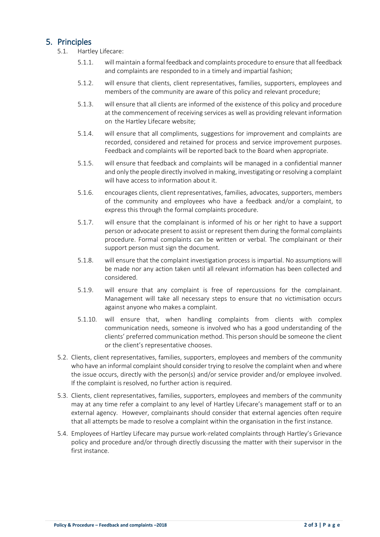## 5. Principles

- 5.1. Hartley Lifecare:
	- 5.1.1. will maintain a formal feedback and complaints procedure to ensure that all feedback and complaints are responded to in a timely and impartial fashion;
	- 5.1.2. will ensure that clients, client representatives, families, supporters, employees and members of the community are aware of this policy and relevant procedure;
	- 5.1.3. will ensure that all clients are informed of the existence of this policy and procedure at the commencement of receiving services as well as providing relevant information on the Hartley Lifecare website;
	- 5.1.4. will ensure that all compliments, suggestions for improvement and complaints are recorded, considered and retained for process and service improvement purposes. Feedback and complaints will be reported back to the Board when appropriate.
	- 5.1.5. will ensure that feedback and complaints will be managed in a confidential manner and only the people directly involved in making, investigating or resolving a complaint will have access to information about it.
	- 5.1.6. encourages clients, client representatives, families, advocates, supporters, members of the community and employees who have a feedback and/or a complaint, to express this through the formal complaints procedure.
	- 5.1.7. will ensure that the complainant is informed of his or her right to have a support person or advocate present to assist or represent them during the formal complaints procedure. Formal complaints can be written or verbal. The complainant or their support person must sign the document.
	- 5.1.8. will ensure that the complaint investigation process is impartial. No assumptions will be made nor any action taken until all relevant information has been collected and considered.
	- 5.1.9. will ensure that any complaint is free of repercussions for the complainant. Management will take all necessary steps to ensure that no victimisation occurs against anyone who makes a complaint.
	- 5.1.10. will ensure that, when handling complaints from clients with complex communication needs, someone is involved who has a good understanding of the clients' preferred communication method. This person should be someone the client or the client's representative chooses.
- 5.2. Clients, client representatives, families, supporters, employees and members of the community who have an informal complaint should consider trying to resolve the complaint when and where the issue occurs, directly with the person(s) and/or service provider and/or employee involved. If the complaint is resolved, no further action is required.
- 5.3. Clients, client representatives, families, supporters, employees and members of the community may at any time refer a complaint to any level of Hartley Lifecare's management staff or to an external agency. However, complainants should consider that external agencies often require that all attempts be made to resolve a complaint within the organisation in the first instance.
- 5.4. Employees of Hartley Lifecare may pursue work-related complaints through Hartley's Grievance policy and procedure and/or through directly discussing the matter with their supervisor in the first instance.